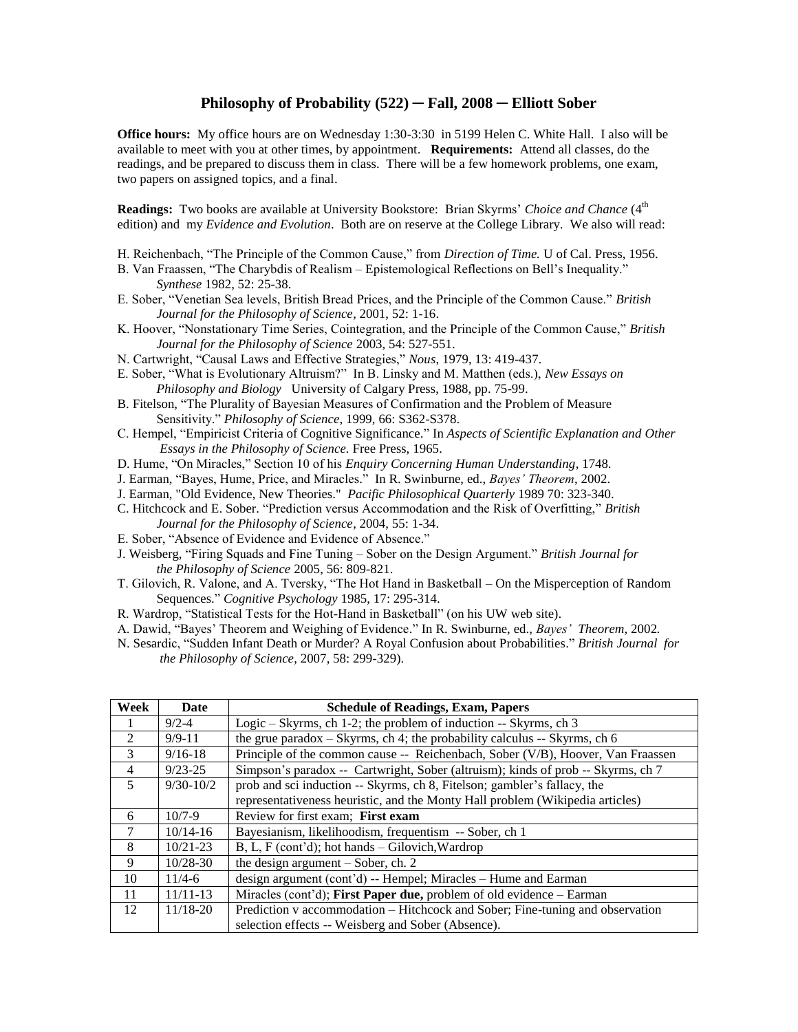## **Philosophy of Probability (522) ─ Fall, 2008 ─ Elliott Sober**

**Office hours:** My office hours are on Wednesday 1:30-3:30 in 5199 Helen C. White Hall. I also will be available to meet with you at other times, by appointment. **Requirements:** Attend all classes, do the readings, and be prepared to discuss them in class. There will be a few homework problems, one exam, two papers on assigned topics, and a final.

**Readings:** Two books are available at University Bookstore: Brian Skyrms' Choice and Chance (4<sup>th</sup>) edition) and my *Evidence and Evolution*. Both are on reserve at the College Library. We also will read:

- H. Reichenbach, "The Principle of the Common Cause," from *Direction of Time.* U of Cal. Press, 1956.
- B. Van Fraassen, "The Charybdis of Realism Epistemological Reflections on Bell's Inequality." *Synthese* 1982, 52: 25-38.
- E. Sober, "Venetian Sea levels, British Bread Prices, and the Principle of the Common Cause." *British Journal for the Philosophy of Science*, 2001, 52: 1-16.
- K. Hoover, "Nonstationary Time Series, Cointegration, and the Principle of the Common Cause," *British Journal for the Philosophy of Science* 2003, 54: 527-551.
- N. Cartwright, "Causal Laws and Effective Strategies," *Nous*, 1979, 13: 419-437.
- E. Sober, "What is Evolutionary Altruism?" In B. Linsky and M. Matthen (eds.), *New Essays on Philosophy and Biology* University of Calgary Press, 1988, pp. 75-99.
- B. Fitelson, "The Plurality of Bayesian Measures of Confirmation and the Problem of Measure Sensitivity." *Philosophy of Science*, 1999, 66: S362-S378.
- C. Hempel, "Empiricist Criteria of Cognitive Significance." In *Aspects of Scientific Explanation and Other Essays in the Philosophy of Science.* Free Press, 1965.
- D. Hume, "On Miracles," Section 10 of his *Enquiry Concerning Human Understanding*, 1748*.*
- J. Earman, "Bayes, Hume, Price, and Miracles." In R. Swinburne, ed., *Bayes' Theorem*, 2002.
- J. Earman, "Old Evidence, New Theories." *Pacific Philosophical Quarterly* 1989 70: 323-340.
- C. Hitchcock and E. Sober. "Prediction versus Accommodation and the Risk of Overfitting," *British Journal for the Philosophy of Science*, 2004, 55: 1-34.
- E. Sober, "Absence of Evidence and Evidence of Absence."
- J. Weisberg, "Firing Squads and Fine Tuning Sober on the Design Argument." *British Journal for the Philosophy of Science* 2005, 56: 809-821.
- T. Gilovich, R. Valone, and A. Tversky, "The Hot Hand in Basketball On the Misperception of Random Sequences." *Cognitive Psychology* 1985, 17: 295-314.
- R. Wardrop, "Statistical Tests for the Hot-Hand in Basketball" (on his UW web site).
- A. Dawid, "Bayes' Theorem and Weighing of Evidence." In R. Swinburne, ed., *Bayes' Theorem*, 2002*.*
- N. Sesardic, "Sudden Infant Death or Murder? A Royal Confusion about Probabilities." *British Journal for the Philosophy of Science*, 2007, 58: 299-329).

| Week           | Date          | <b>Schedule of Readings, Exam, Papers</b>                                        |
|----------------|---------------|----------------------------------------------------------------------------------|
|                | $9/2 - 4$     | Logic – Skyrms, ch 1-2; the problem of induction $-$ - Skyrms, ch 3              |
| $\mathfrak{D}$ | $9/9 - 11$    | the grue paradox $-$ Skyrms, ch 4; the probability calculus $-$ Skyrms, ch 6     |
| $\mathcal{E}$  | $9/16 - 18$   | Principle of the common cause -- Reichenbach, Sober (V/B), Hoover, Van Fraassen  |
| $\overline{4}$ | $9/23 - 25$   | Simpson's paradox -- Cartwright, Sober (altruism); kinds of prob -- Skyrms, ch 7 |
| 5              | $9/30 - 10/2$ | prob and sci induction -- Skyrms, ch 8, Fitelson; gambler's fallacy, the         |
|                |               | representativeness heuristic, and the Monty Hall problem (Wikipedia articles)    |
| 6              | $10/7 - 9$    | Review for first exam; First exam                                                |
| 7              | $10/14 - 16$  | Bayesianism, likelihoodism, frequentism -- Sober, ch 1                           |
| 8              | $10/21 - 23$  | B, L, F (cont'd); hot hands – Gilovich, Wardrop                                  |
| 9              | $10/28 - 30$  | the design argument - Sober, ch. 2                                               |
| 10             | $11/4 - 6$    | design argument (cont'd) -- Hempel; Miracles -- Hume and Earman                  |
| 11             | $11/11-13$    | Miracles (cont'd); First Paper due, problem of old evidence - Earman             |
| 12             | $11/18 - 20$  | Prediction v accommodation – Hitchcock and Sober; Fine-tuning and observation    |
|                |               | selection effects -- Weisberg and Sober (Absence).                               |